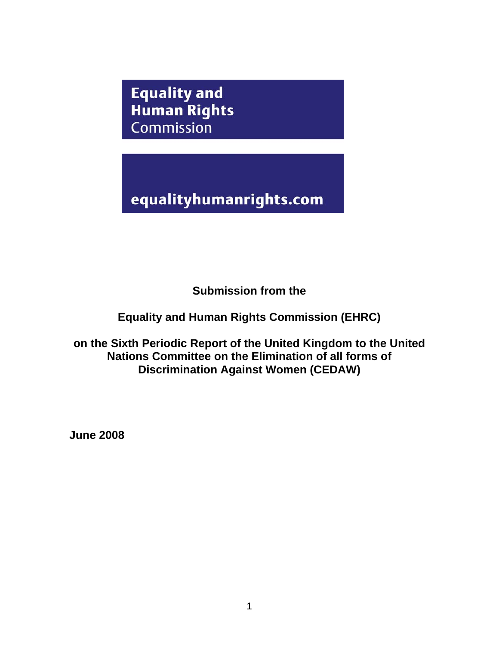**Equality and Human Rights** Commission

equalityhumanrights.com

**Submission from the** 

**Equality and Human Rights Commission (EHRC)** 

**on the Sixth Periodic Report of the United Kingdom to the United Nations Committee on the Elimination of all forms of Discrimination Against Women (CEDAW)** 

**June 2008**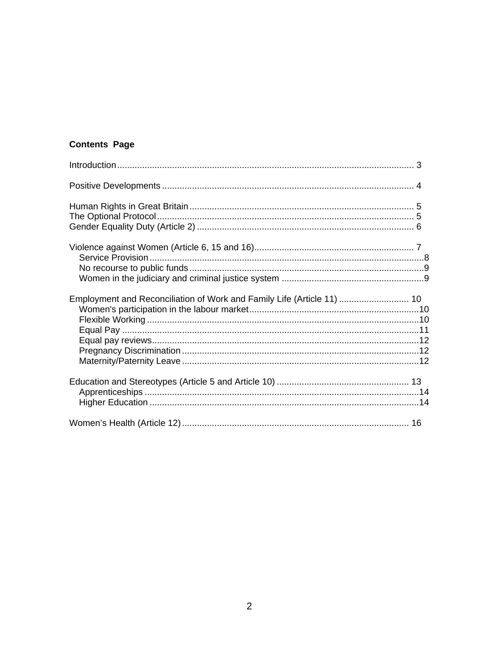# **Contents Page**

| Employment and Reconciliation of Work and Family Life (Article 11)  10 |  |
|------------------------------------------------------------------------|--|
|                                                                        |  |
|                                                                        |  |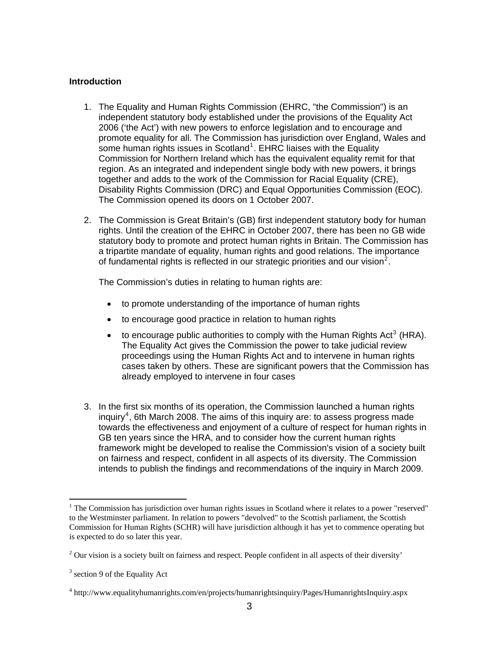### <span id="page-2-0"></span>**Introduction**

- 1. The Equality and Human Rights Commission (EHRC, "the Commission") is an independent statutory body established under the provisions of the Equality Act 2006 ('the Act') with new powers to enforce legislation and to encourage and promote equality for all. The Commission has jurisdiction over England, Wales and some human rights issues in Scotland<sup>[1](#page-2-1)</sup>. EHRC liaises with the Equality Commission for Northern Ireland which has the equivalent equality remit for that region. As an integrated and independent single body with new powers, it brings together and adds to the work of the Commission for Racial Equality (CRE), Disability Rights Commission (DRC) and Equal Opportunities Commission (EOC). The Commission opened its doors on 1 October 2007.
- 2. The Commission is Great Britain's (GB) first independent statutory body for human rights. Until the creation of the EHRC in October 2007, there has been no GB wide statutory body to promote and protect human rights in Britain. The Commission has a tripartite mandate of equality, human rights and good relations. The importance of fundamental rights is reflected in our strategic priorities and our vision<sup>[2](#page-2-2)</sup>.

The Commission's duties in relating to human rights are:

- to promote understanding of the importance of human rights
- to encourage good practice in relation to human rights
- to encourage public authorities to comply with the Human Rights Act<sup>[3](#page-2-3)</sup> (HRA). The Equality Act gives the Commission the power to take judicial review proceedings using the Human Rights Act and to intervene in human rights cases taken by others. These are significant powers that the Commission has already employed to intervene in four cases
- 3. In the first six months of its operation, the Commission launched a human rights inquiry<sup>[4](#page-2-4)</sup>, 6th March 2008. The aims of this inquiry are: to assess progress made towards the effectiveness and enjoyment of a culture of respect for human rights in GB ten years since the HRA, and to consider how the current human rights framework might be developed to realise the Commission's vision of a society built on fairness and respect, confident in all aspects of its diversity. The Commission intends to publish the findings and recommendations of the inquiry in March 2009.

<span id="page-2-1"></span><sup>&</sup>lt;sup>1</sup> The Commission has jurisdiction over human rights issues in Scotland where it relates to a power "reserved" to the Westminster parliament. In relation to powers "devolved" to the Scottish parliament, the Scottish Commission for Human Rights (SCHR) will have jurisdiction although it has yet to commence operating but is expected to do so later this year.

<span id="page-2-2"></span> $2$  Our vision is a society built on fairness and respect. People confident in all aspects of their diversity'

<span id="page-2-3"></span> $3$  section 9 of the Equality Act

<span id="page-2-4"></span><sup>4</sup> http://www.equalityhumanrights.com/en/projects/humanrightsinquiry/Pages/HumanrightsInquiry.aspx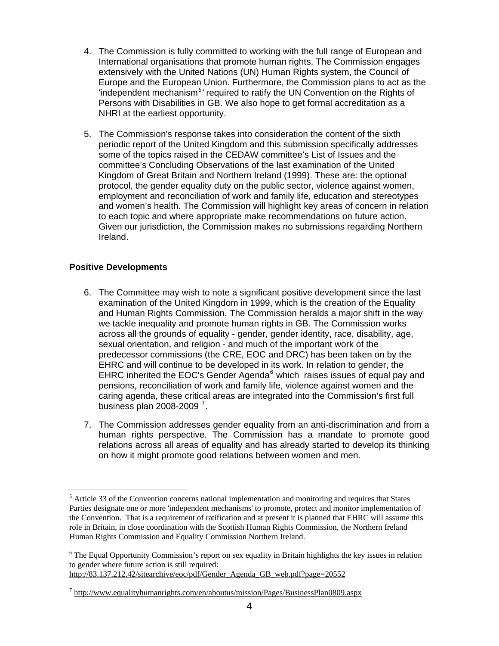- <span id="page-3-0"></span>4. The Commission is fully committed to working with the full range of European and International organisations that promote human rights. The Commission engages extensively with the United Nations (UN) Human Rights system, the Council of Europe and the European Union. Furthermore, the Commission plans to act as the Independent mechanism<sup>[5](#page-3-1)</sup>' required to ratify the UN Convention on the Rights of Persons with Disabilities in GB. We also hope to get formal accreditation as a NHRI at the earliest opportunity.
- 5. The Commission's response takes into consideration the content of the sixth periodic report of the United Kingdom and this submission specifically addresses some of the topics raised in the CEDAW committee's List of Issues and the committee's Concluding Observations of the last examination of the United Kingdom of Great Britain and Northern Ireland (1999). These are: the optional protocol, the gender equality duty on the public sector, violence against women, employment and reconciliation of work and family life, education and stereotypes and women's health. The Commission will highlight key areas of concern in relation to each topic and where appropriate make recommendations on future action. Given our jurisdiction, the Commission makes no submissions regarding Northern Ireland.

# **Positive Developments**

1

- 6. The Committee may wish to note a significant positive development since the last examination of the United Kingdom in 1999, which is the creation of the Equality and Human Rights Commission. The Commission heralds a major shift in the way we tackle inequality and promote human rights in GB. The Commission works across all the grounds of equality - gender, gender identity, race, disability, age, sexual orientation, and religion - and much of the important work of the predecessor commissions (the CRE, EOC and DRC) has been taken on by the EHRC and will continue to be developed in its work. In relation to gender, the EHRC inherited the EOC's Gender Agenda $<sup>6</sup>$  $<sup>6</sup>$  $<sup>6</sup>$  which raises issues of equal pay and</sup> pensions, reconciliation of work and family life, violence against women and the caring agenda, these critical areas are integrated into the Commission's first full business plan 2008-2009 $^7$  $^7$ .
- 7. The Commission addresses gender equality from an anti-discrimination and from a human rights perspective. The Commission has a mandate to promote good relations across all areas of equality and has already started to develop its thinking on how it might promote good relations between women and men.

[http://83.137.212.42/sitearchive/eoc/pdf/Gender\\_Agenda\\_GB\\_web.pdf?page=20552](http://83.137.212.42/sitearchive/eoc/pdf/Gender_Agenda_GB_web.pdf?page=20552) 

<span id="page-3-1"></span><sup>&</sup>lt;sup>5</sup> Article 33 of the Convention concerns national implementation and monitoring and requires that States Parties designate one or more 'independent mechanisms' to promote, protect and monitor implementation of the Convention. That is a requirement of ratification and at present it is planned that EHRC will assume this role in Britain, in close coordination with the Scottish Human Rights Commission, the Northern Ireland Human Rights Commission and Equality Commission Northern Ireland.

<span id="page-3-2"></span><sup>&</sup>lt;sup>6</sup> The Equal Opportunity Commission's report on sex equality in Britain highlights the key issues in relation to gender where future action is still required:

<span id="page-3-3"></span> $^7$  http://www.equalityhumanrights.com/en/aboutus/mission/Pages/BusinessPlan0809.aspx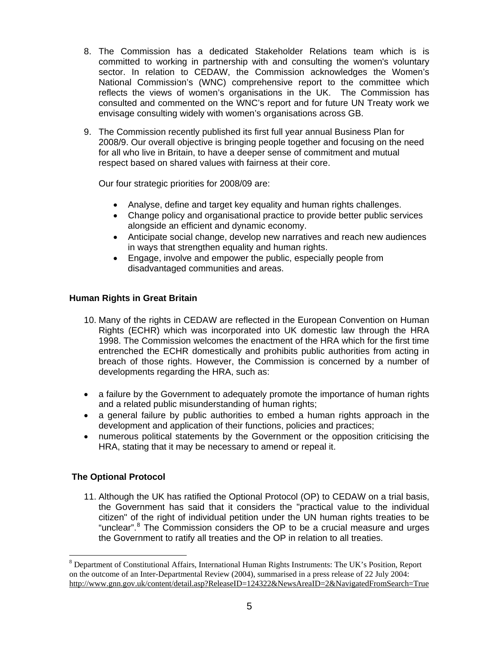- <span id="page-4-0"></span>8. The Commission has a dedicated Stakeholder Relations team which is is committed to working in partnership with and consulting the women's voluntary sector. In relation to CEDAW, the Commission acknowledges the Women's National Commission's (WNC) comprehensive report to the committee which reflects the views of women's organisations in the UK. The Commission has consulted and commented on the WNC's report and for future UN Treaty work we envisage consulting widely with women's organisations across GB.
- 9. The Commission recently published its first full year annual Business Plan for 2008/9. Our overall objective is bringing people together and focusing on the need for all who live in Britain, to have a deeper sense of commitment and mutual respect based on shared values with fairness at their core.

Our four strategic priorities for 2008/09 are:

- Analyse, define and target key equality and human rights challenges.
- Change policy and organisational practice to provide better public services alongside an efficient and dynamic economy.
- Anticipate social change, develop new narratives and reach new audiences in ways that strengthen equality and human rights.
- Engage, involve and empower the public, especially people from disadvantaged communities and areas.

# **Human Rights in Great Britain**

- 10. Many of the rights in CEDAW are reflected in the European Convention on Human Rights (ECHR) which was incorporated into UK domestic law through the HRA 1998. The Commission welcomes the enactment of the HRA which for the first time entrenched the ECHR domestically and prohibits public authorities from acting in breach of those rights. However, the Commission is concerned by a number of developments regarding the HRA, such as:
- a failure by the Government to adequately promote the importance of human rights and a related public misunderstanding of human rights;
- a general failure by public authorities to embed a human rights approach in the development and application of their functions, policies and practices;
- numerous political statements by the Government or the opposition criticising the HRA, stating that it may be necessary to amend or repeal it.

# **The Optional Protocol**

1

11. Although the UK has ratified the Optional Protocol (OP) to CEDAW on a trial basis, the Government has said that it considers the "practical value to the individual citizen" of the right of individual petition under the UN human rights treaties to be "unclear".<sup>[8](#page-4-1)</sup> The Commission considers the OP to be a crucial measure and urges the Government to ratify all treaties and the OP in relation to all treaties.

<span id="page-4-1"></span><sup>&</sup>lt;sup>8</sup> Department of Constitutional Affairs, International Human Rights Instruments: The UK's Position, Report on the outcome of an Inter-Departmental Review (2004), summarised in a press release of 22 July 2004: [http://www.gnn.gov.uk/content/detail.asp?ReleaseID=124322&NewsAreaID=2&NavigatedFromSearch=True](https://webmail.equalityhumanrights.com/OWA/redir.aspx?C=a3fdbadeddab4e939d46305151644913&URL=http%3a%2f%2fwww.gnn.gov.uk%2fcontent%2fdetail.asp%3fReleaseID%3d124322%26NewsAreaID%3d2%26NavigatedFromSearch%3dTrue)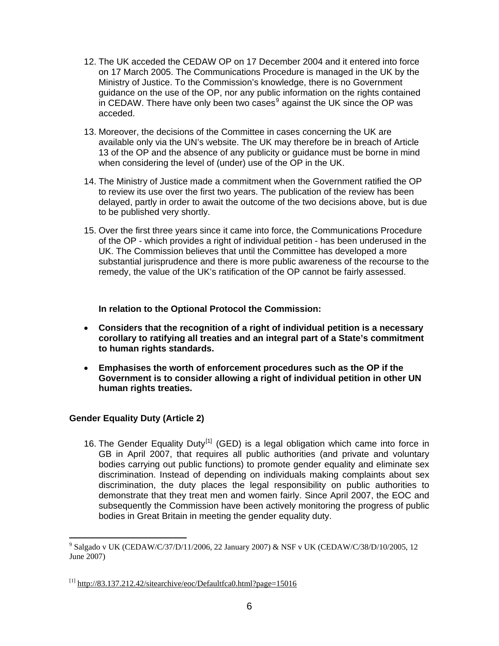- <span id="page-5-0"></span>12. The UK acceded the CEDAW OP on 17 December 2004 and it entered into force on 17 March 2005. The Communications Procedure is managed in the UK by the Ministry of Justice. To the Commission's knowledge, there is no Government guidance on the use of the OP, nor any public information on the rights contained in CEDAW. There have only been two cases $9$  against the UK since the OP was acceded.
- 13. Moreover, the decisions of the Committee in cases concerning the UK are available only via the UN's website. The UK may therefore be in breach of Article 13 of the OP and the absence of any publicity or guidance must be borne in mind when considering the level of (under) use of the OP in the UK.
- 14. The Ministry of Justice made a commitment when the Government ratified the OP to review its use over the first two years. The publication of the review has been delayed, partly in order to await the outcome of the two decisions above, but is due to be published very shortly.
- 15. Over the first three years since it came into force, the Communications Procedure of the OP - which provides a right of individual petition - has been underused in the UK. The Commission believes that until the Committee has developed a more substantial jurisprudence and there is more public awareness of the recourse to the remedy, the value of the UK's ratification of the OP cannot be fairly assessed.

**In relation to the Optional Protocol the Commission:** 

- **Considers that the recognition of a right of individual petition is a necessary corollary to ratifying all treaties and an integral part of a State's commitment to human rights standards.**
- **Emphasises the worth of enforcement procedures such as the OP if the Government is to consider allowing a right of individual petition in other UN human rights treaties.**

# **Gender Equality Duty (Article 2)**

1

16. The Gender Equality Duty<sup>[\[1\]](#page-5-2)</sup> (GED) is a legal obligation which came into force in GB in April 2007, that requires all public authorities (and private and voluntary bodies carrying out public functions) to promote gender equality and eliminate sex discrimination. Instead of depending on individuals making complaints about sex discrimination, the duty places the legal responsibility on public authorities to demonstrate that they treat men and women fairly. Since April 2007, the EOC and subsequently the Commission have been actively monitoring the progress of public bodies in Great Britain in meeting the gender equality duty.

<span id="page-5-1"></span><sup>9</sup> Salgado v UK (CEDAW/C/37/D/11/2006, 22 January 2007) & NSF v UK (CEDAW/C/38/D/10/2005, 12 June 2007)

<span id="page-5-2"></span> $^{[1]}$  <http://83.137.212.42/sitearchive/eoc/Defaultfca0.html?page=15016>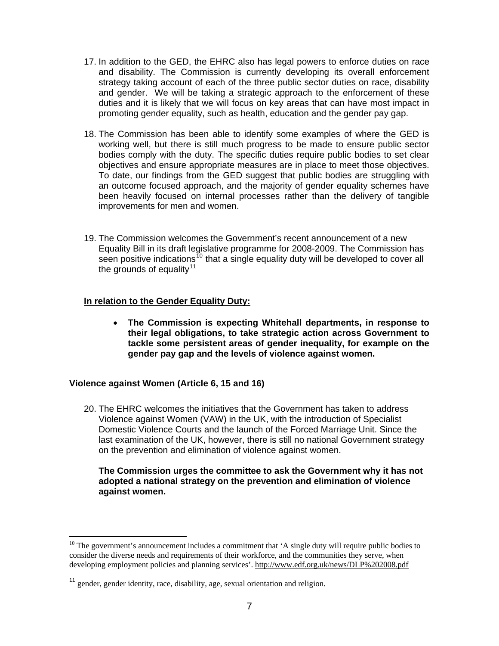- <span id="page-6-0"></span>17. In addition to the GED, the EHRC also has legal powers to enforce duties on race and disability. The Commission is currently developing its overall enforcement strategy taking account of each of the three public sector duties on race, disability and gender. We will be taking a strategic approach to the enforcement of these duties and it is likely that we will focus on key areas that can have most impact in promoting gender equality, such as health, education and the gender pay gap.
- 18. The Commission has been able to identify some examples of where the GED is working well, but there is still much progress to be made to ensure public sector bodies comply with the duty. The specific duties require public bodies to set clear objectives and ensure appropriate measures are in place to meet those objectives. To date, our findings from the GED suggest that public bodies are struggling with an outcome focused approach, and the majority of gender equality schemes have been heavily focused on internal processes rather than the delivery of tangible improvements for men and women.
- 19. The Commission welcomes the Government's recent announcement of a new Equality Bill in its draft legislative programme for 2008-2009. The Commission has seen positive indications<sup>[10](#page-6-1)</sup> that a single equality duty will be developed to cover all the grounds of equality<sup>[11](#page-6-2)</sup>

#### **In relation to the Gender Equality Duty:**

• **The Commission is expecting Whitehall departments, in response to their legal obligations, to take strategic action across Government to tackle some persistent areas of gender inequality, for example on the gender pay gap and the levels of violence against women.** 

# **Violence against Women (Article 6, 15 and 16)**

1

20. The EHRC welcomes the initiatives that the Government has taken to address Violence against Women (VAW) in the UK, with the introduction of Specialist Domestic Violence Courts and the launch of the Forced Marriage Unit. Since the last examination of the UK, however, there is still no national Government strategy on the prevention and elimination of violence against women.

#### **The Commission urges the committee to ask the Government why it has not adopted a national strategy on the prevention and elimination of violence against women.**

<span id="page-6-1"></span> $10$  The government's announcement includes a commitment that 'A single duty will require public bodies to consider the diverse needs and requirements of their workforce, and the communities they serve, when developing employment policies and planning services'.<http://www.edf.org.uk/news/DLP%202008.pdf>

<span id="page-6-2"></span><sup>&</sup>lt;sup>11</sup> gender, gender identity, race, disability, age, sexual orientation and religion.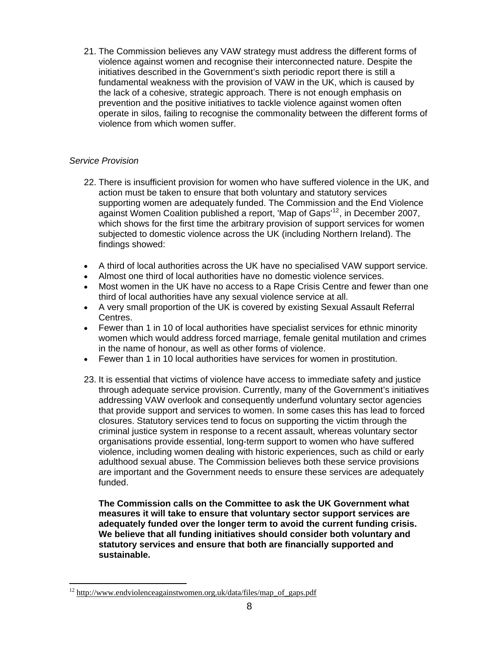<span id="page-7-0"></span>21. The Commission believes any VAW strategy must address the different forms of violence against women and recognise their interconnected nature. Despite the initiatives described in the Government's sixth periodic report there is still a fundamental weakness with the provision of VAW in the UK, which is caused by the lack of a cohesive, strategic approach. There is not enough emphasis on prevention and the positive initiatives to tackle violence against women often operate in silos, failing to recognise the commonality between the different forms of violence from which women suffer.

# *Service Provision*

1

- 22. There is insufficient provision for women who have suffered violence in the UK, and action must be taken to ensure that both voluntary and statutory services supporting women are adequately funded. The Commission and the End Violence against Women Coalition published a report, 'Map of Gaps'[12](#page-7-1), in December 2007, which shows for the first time the arbitrary provision of support services for women subjected to domestic violence across the UK (including Northern Ireland). The findings showed:
- A third of local authorities across the UK have no specialised VAW support service.
- Almost one third of local authorities have no domestic violence services.
- Most women in the UK have no access to a Rape Crisis Centre and fewer than one third of local authorities have any sexual violence service at all.
- A very small proportion of the UK is covered by existing Sexual Assault Referral Centres.
- Fewer than 1 in 10 of local authorities have specialist services for ethnic minority women which would address forced marriage, female genital mutilation and crimes in the name of honour, as well as other forms of violence.
- Fewer than 1 in 10 local authorities have services for women in prostitution.
- 23. It is essential that victims of violence have access to immediate safety and justice through adequate service provision. Currently, many of the Government's initiatives addressing VAW overlook and consequently underfund voluntary sector agencies that provide support and services to women. In some cases this has lead to forced closures. Statutory services tend to focus on supporting the victim through the criminal justice system in response to a recent assault, whereas voluntary sector organisations provide essential, long-term support to women who have suffered violence, including women dealing with historic experiences, such as child or early adulthood sexual abuse. The Commission believes both these service provisions are important and the Government needs to ensure these services are adequately funded.

**The Commission calls on the Committee to ask the UK Government what measures it will take to ensure that voluntary sector support services are adequately funded over the longer term to avoid the current funding crisis. We believe that all funding initiatives should consider both voluntary and statutory services and ensure that both are financially supported and sustainable.** 

<span id="page-7-1"></span><sup>&</sup>lt;sup>12</sup> http://www.endviolenceagainstwomen.org.uk/data/files/map\_of\_gaps.pdf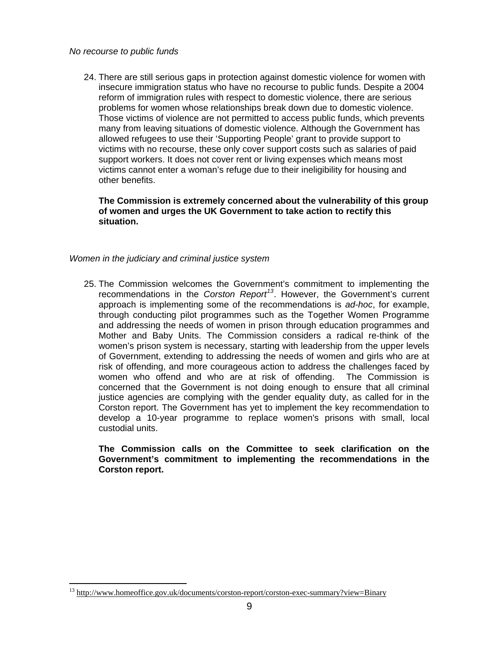<span id="page-8-0"></span>24. There are still serious gaps in protection against domestic violence for women with insecure immigration status who have no recourse to public funds. Despite a 2004 reform of immigration rules with respect to domestic violence, there are serious problems for women whose relationships break down due to domestic violence. Those victims of violence are not permitted to access public funds, which prevents many from leaving situations of domestic violence. Although the Government has allowed refugees to use their 'Supporting People' grant to provide support to victims with no recourse, these only cover support costs such as salaries of paid support workers. It does not cover rent or living expenses which means most victims cannot enter a woman's refuge due to their ineligibility for housing and other benefits.

**The Commission is extremely concerned about the vulnerability of this group of women and urges the UK Government to take action to rectify this situation.** 

# *Women in the judiciary and criminal justice system*

25. The Commission welcomes the Government's commitment to implementing the recommendations in the *Corston Report[13](#page-8-1)*. However, the Government's current approach is implementing some of the recommendations is *ad-hoc*, for example, through conducting pilot programmes such as the Together Women Programme and addressing the needs of women in prison through education programmes and Mother and Baby Units. The Commission considers a radical re-think of the women's prison system is necessary, starting with leadership from the upper levels of Government, extending to addressing the needs of women and girls who are at risk of offending, and more courageous action to address the challenges faced by women who offend and who are at risk of offending. The Commission is concerned that the Government is not doing enough to ensure that all criminal justice agencies are complying with the gender equality duty, as called for in the Corston report. The Government has yet to implement the key recommendation to develop a 10-year programme to replace women's prisons with small, local custodial units.

**The Commission calls on the Committee to seek clarification on the Government's commitment to implementing the recommendations in the Corston report.**

<span id="page-8-1"></span><sup>&</sup>lt;sup>13</sup> http://www.homeoffice.gov.uk/documents/corston-report/corston-exec-summary?view=Binary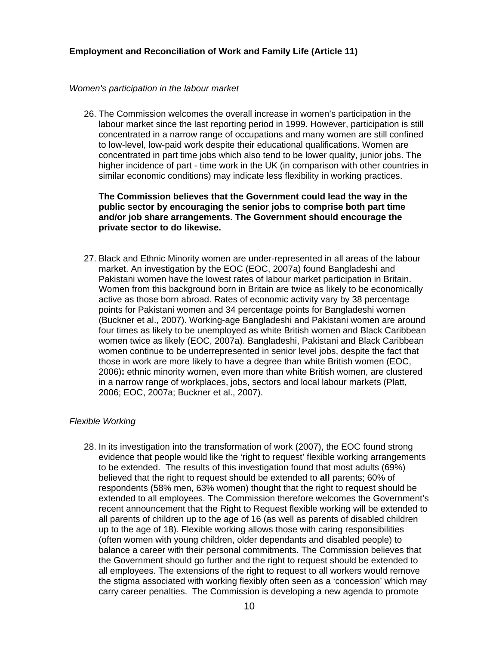#### <span id="page-9-0"></span>*Women's participation in the labour market*

26. The Commission welcomes the overall increase in women's participation in the labour market since the last reporting period in 1999. However, participation is still concentrated in a narrow range of occupations and many women are still confined to low-level, low-paid work despite their educational qualifications. Women are concentrated in part time jobs which also tend to be lower quality, junior jobs. The higher incidence of part - time work in the UK (in comparison with other countries in similar economic conditions) may indicate less flexibility in working practices.

**The Commission believes that the Government could lead the way in the public sector by encouraging the senior jobs to comprise both part time and/or job share arrangements. The Government should encourage the private sector to do likewise.** 

27. Black and Ethnic Minority women are under-represented in all areas of the labour market. An investigation by the EOC (EOC, 2007a) found Bangladeshi and Pakistani women have the lowest rates of labour market participation in Britain. Women from this background born in Britain are twice as likely to be economically active as those born abroad. Rates of economic activity vary by 38 percentage points for Pakistani women and 34 percentage points for Bangladeshi women (Buckner et al., 2007). Working-age Bangladeshi and Pakistani women are around four times as likely to be unemployed as white British women and Black Caribbean women twice as likely (EOC, 2007a). Bangladeshi, Pakistani and Black Caribbean women continue to be underrepresented in senior level jobs, despite the fact that those in work are more likely to have a degree than white British women (EOC, 2006)**:** ethnic minority women, even more than white British women, are clustered in a narrow range of workplaces, jobs, sectors and local labour markets (Platt, 2006; EOC, 2007a; Buckner et al., 2007).

# *Flexible Working*

28. In its investigation into the transformation of work (2007), the EOC found strong evidence that people would like the 'right to request' flexible working arrangements to be extended. The results of this investigation found that most adults (69%) believed that the right to request should be extended to **all** parents; 60% of respondents (58% men, 63% women) thought that the right to request should be extended to all employees. The Commission therefore welcomes the Government's recent announcement that the Right to Request flexible working will be extended to all parents of children up to the age of 16 (as well as parents of disabled children up to the age of 18). Flexible working allows those with caring responsibilities (often women with young children, older dependants and disabled people) to balance a career with their personal commitments. The Commission believes that the Government should go further and the right to request should be extended to all employees. The extensions of the right to request to all workers would remove the stigma associated with working flexibly often seen as a 'concession' which may carry career penalties. The Commission is developing a new agenda to promote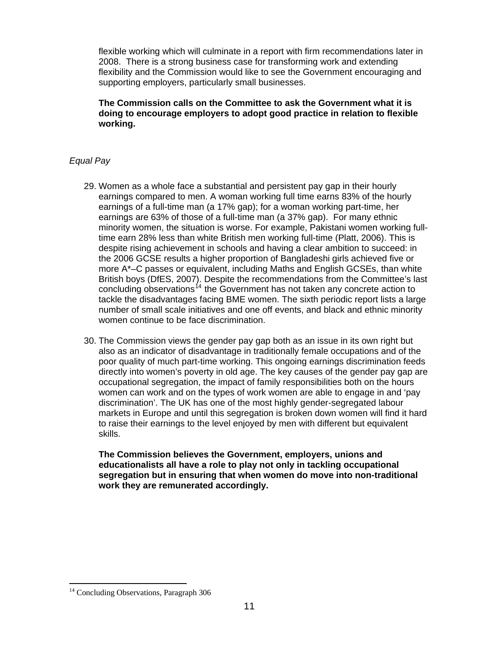<span id="page-10-0"></span>flexible working which will culminate in a report with firm recommendations later in 2008. There is a strong business case for transforming work and extending flexibility and the Commission would like to see the Government encouraging and supporting employers, particularly small businesses.

**The Commission calls on the Committee to ask the Government what it is doing to encourage employers to adopt good practice in relation to flexible working.** 

# *Equal Pay*

- 29. Women as a whole face a substantial and persistent pay gap in their hourly earnings compared to men. A woman working full time earns 83% of the hourly earnings of a full-time man (a 17% gap); for a woman working part-time, her earnings are 63% of those of a full-time man (a 37% gap). For many ethnic minority women, the situation is worse. For example, Pakistani women working fulltime earn 28% less than white British men working full-time (Platt, 2006). This is despite rising achievement in schools and having a clear ambition to succeed: in the 2006 GCSE results a higher proportion of Bangladeshi girls achieved five or more A\*–C passes or equivalent, including Maths and English GCSEs, than white British boys (DfES, 2007). Despite the recommendations from the Committee's last concluding observations<sup> $14$ </sup> the Government has not taken any concrete action to tackle the disadvantages facing BME women. The sixth periodic report lists a large number of small scale initiatives and one off events, and black and ethnic minority women continue to be face discrimination.
- 30. The Commission views the gender pay gap both as an issue in its own right but also as an indicator of disadvantage in traditionally female occupations and of the poor quality of much part-time working. This ongoing earnings discrimination feeds directly into women's poverty in old age. The key causes of the gender pay gap are occupational segregation, the impact of family responsibilities both on the hours women can work and on the types of work women are able to engage in and 'pay discrimination'. The UK has one of the most highly gender-segregated labour markets in Europe and until this segregation is broken down women will find it hard to raise their earnings to the level enjoyed by men with different but equivalent skills.

**The Commission believes the Government, employers, unions and educationalists all have a role to play not only in tackling occupational segregation but in ensuring that when women do move into non-traditional work they are remunerated accordingly.** 

<span id="page-10-1"></span><sup>&</sup>lt;sup>14</sup> Concluding Observations, Paragraph 306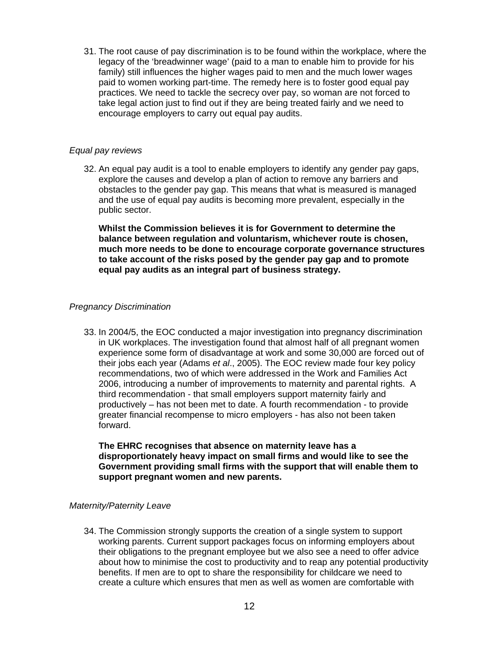<span id="page-11-0"></span>31. The root cause of pay discrimination is to be found within the workplace, where the legacy of the 'breadwinner wage' (paid to a man to enable him to provide for his family) still influences the higher wages paid to men and the much lower wages paid to women working part-time. The remedy here is to foster good equal pay practices. We need to tackle the secrecy over pay, so woman are not forced to take legal action just to find out if they are being treated fairly and we need to encourage employers to carry out equal pay audits.

### *Equal pay reviews*

32. An equal pay audit is a tool to enable employers to identify any gender pay gaps, explore the causes and develop a plan of action to remove any barriers and obstacles to the gender pay gap. This means that what is measured is managed and the use of equal pay audits is becoming more prevalent, especially in the public sector.

**Whilst the Commission believes it is for Government to determine the balance between regulation and voluntarism, whichever route is chosen, much more needs to be done to encourage corporate governance structures to take account of the risks posed by the gender pay gap and to promote equal pay audits as an integral part of business strategy.** 

### *Pregnancy Discrimination*

33. In 2004/5, the EOC conducted a major investigation into pregnancy discrimination in UK workplaces. The investigation found that almost half of all pregnant women experience some form of disadvantage at work and some 30,000 are forced out of their jobs each year (Adams *et al*., 2005). The EOC review made four key policy recommendations, two of which were addressed in the Work and Families Act 2006, introducing a number of improvements to maternity and parental rights. A third recommendation - that small employers support maternity fairly and productively – has not been met to date. A fourth recommendation - to provide greater financial recompense to micro employers - has also not been taken forward.

**The EHRC recognises that absence on maternity leave has a disproportionately heavy impact on small firms and would like to see the Government providing small firms with the support that will enable them to support pregnant women and new parents.** 

#### *Maternity/Paternity Leave*

34. The Commission strongly supports the creation of a single system to support working parents. Current support packages focus on informing employers about their obligations to the pregnant employee but we also see a need to offer advice about how to minimise the cost to productivity and to reap any potential productivity benefits. If men are to opt to share the responsibility for childcare we need to create a culture which ensures that men as well as women are comfortable with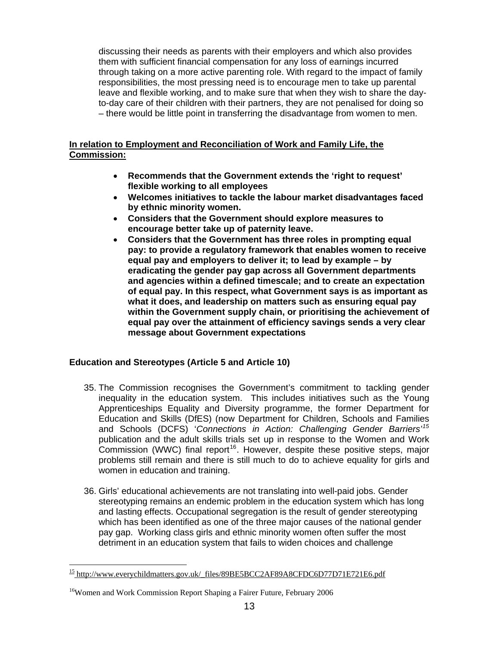<span id="page-12-0"></span>discussing their needs as parents with their employers and which also provides them with sufficient financial compensation for any loss of earnings incurred through taking on a more active parenting role. With regard to the impact of family responsibilities, the most pressing need is to encourage men to take up parental leave and flexible working, and to make sure that when they wish to share the dayto-day care of their children with their partners, they are not penalised for doing so – there would be little point in transferring the disadvantage from women to men.

# **In relation to Employment and Reconciliation of Work and Family Life, the Commission:**

- **Recommends that the Government extends the 'right to request' flexible working to all employees**
- **Welcomes initiatives to tackle the labour market disadvantages faced by ethnic minority women.**
- **Considers that the Government should explore measures to encourage better take up of paternity leave.**
- **Considers that the Government has three roles in prompting equal pay: to provide a regulatory framework that enables women to receive equal pay and employers to deliver it; to lead by example – by eradicating the gender pay gap across all Government departments and agencies within a defined timescale; and to create an expectation of equal pay. In this respect, what Government says is as important as what it does, and leadership on matters such as ensuring equal pay within the Government supply chain, or prioritising the achievement of equal pay over the attainment of efficiency savings sends a very clear message about Government expectations**

# **Education and Stereotypes (Article 5 and Article 10)**

- 35. The Commission recognises the Government's commitment to tackling gender inequality in the education system. This includes initiatives such as the Young Apprenticeships Equality and Diversity programme, the former Department for Education and Skills (DfES) (now Department for Children, Schools and Families and Schools (DCFS) '*Connections in Action: Challenging Gender Barriers'[15](#page-12-1)* publication and the adult skills trials set up in response to the Women and Work  $Commission (WWC)$  final report<sup>[16](#page-12-2)</sup>. However, despite these positive steps, major problems still remain and there is still much to do to achieve equality for girls and women in education and training.
- 36. Girls' educational achievements are not translating into well-paid jobs. Gender stereotyping remains an endemic problem in the education system which has long and lasting effects. Occupational segregation is the result of gender stereotyping which has been identified as one of the three major causes of the national gender pay gap. Working class girls and ethnic minority women often suffer the most detriment in an education system that fails to widen choices and challenge

<span id="page-12-1"></span> $15$  http://www.everychildmatters.gov.uk/ files/89BE5BCC2AF89A8CFDC6D77D71E721E6.pdf

<span id="page-12-2"></span><sup>&</sup>lt;sup>16</sup>Women and Work Commission Report Shaping a Fairer Future, February 2006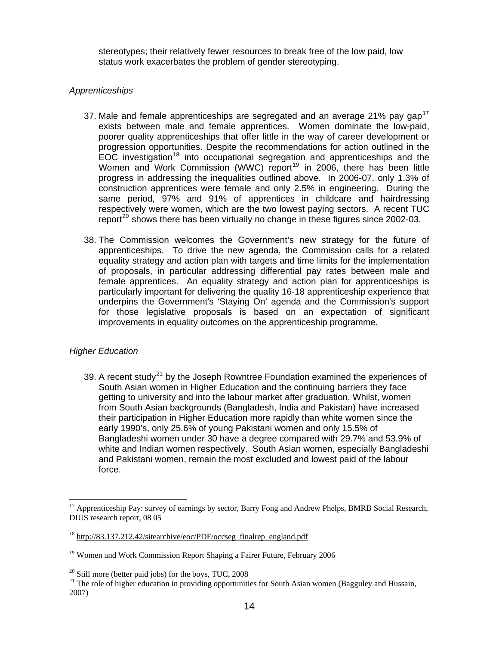<span id="page-13-0"></span>stereotypes; their relatively fewer resources to break free of the low paid, low status work exacerbates the problem of gender stereotyping.

# *Apprenticeships*

- 37. Male and female apprenticeships are segregated and an average 21% pay gap<sup>[17](#page-13-1)</sup> exists between male and female apprentices. Women dominate the low-paid, poorer quality apprenticeships that offer little in the way of career development or progression opportunities. Despite the recommendations for action outlined in the EOC investigation<sup>[18](#page-13-2)</sup> into occupational segregation and apprenticeships and the Women and Work Commission (WWC) report<sup>[19](#page-13-3)</sup> in 2006, there has been little progress in addressing the inequalities outlined above. In 2006-07, only 1.3% of construction apprentices were female and only 2.5% in engineering. During the same period, 97% and 91% of apprentices in childcare and hairdressing respectively were women, which are the two lowest paying sectors. A recent TUC report<sup>[20](#page-13-4)</sup> shows there has been virtually no change in these figures since 2002-03.
- 38. The Commission welcomes the Government's new strategy for the future of apprenticeships. To drive the new agenda, the Commission calls for a related equality strategy and action plan with targets and time limits for the implementation of proposals, in particular addressing differential pay rates between male and female apprentices. An equality strategy and action plan for apprenticeships is particularly important for delivering the quality 16-18 apprenticeship experience that underpins the Government's 'Staying On' agenda and the Commission's support for those legislative proposals is based on an expectation of significant improvements in equality outcomes on the apprenticeship programme.

# *Higher Education*

1

39. A recent study<sup>[21](#page-13-5)</sup> by the Joseph Rowntree Foundation examined the experiences of South Asian women in Higher Education and the continuing barriers they face getting to university and into the labour market after graduation. Whilst, women from South Asian backgrounds (Bangladesh, India and Pakistan) have increased their participation in Higher Education more rapidly than white women since the early 1990's, only 25.6% of young Pakistani women and only 15.5% of Bangladeshi women under 30 have a degree compared with 29.7% and 53.9% of white and Indian women respectively. South Asian women, especially Bangladeshi and Pakistani women, remain the most excluded and lowest paid of the labour force.

<span id="page-13-1"></span><sup>&</sup>lt;sup>17</sup> Apprenticeship Pay: survey of earnings by sector, Barry Fong and Andrew Phelps, BMRB Social Research, DIUS research report, 08 05

<span id="page-13-2"></span> $18 \text{ http://83.137.212.42/s}$ itearchive/eoc/PDF/occseg\_finalrep\_england.pdf

<span id="page-13-3"></span><sup>&</sup>lt;sup>19</sup> Women and Work Commission Report Shaping a Fairer Future, February 2006

<span id="page-13-4"></span> $20$  Still more (better paid jobs) for the boys, TUC, 2008

<span id="page-13-5"></span><sup>&</sup>lt;sup>21</sup> The role of higher education in providing opportunities for South Asian women (Bagguley and Hussain, 2007)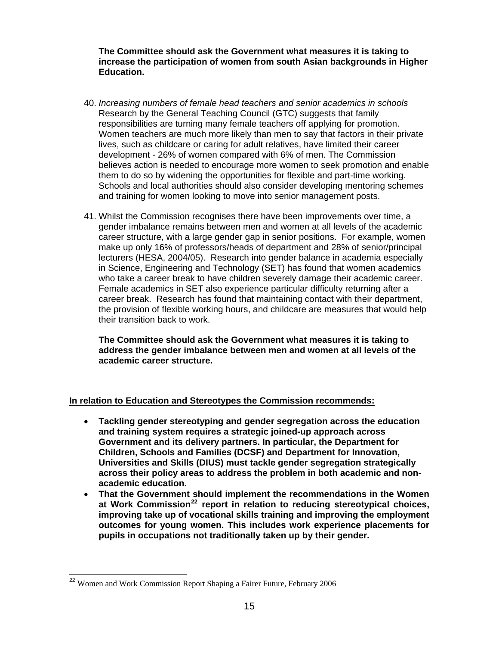**The Committee should ask the Government what measures it is taking to increase the participation of women from south Asian backgrounds in Higher Education.** 

- 40. *Increasing numbers of female head teachers and senior academics in schools* Research by the General Teaching Council (GTC) suggests that family responsibilities are turning many female teachers off applying for promotion. Women teachers are much more likely than men to say that factors in their private lives, such as childcare or caring for adult relatives, have limited their career development - 26% of women compared with 6% of men. The Commission believes action is needed to encourage more women to seek promotion and enable them to do so by widening the opportunities for flexible and part-time working. Schools and local authorities should also consider developing mentoring schemes and training for women looking to move into senior management posts.
- 41. Whilst the Commission recognises there have been improvements over time, a gender imbalance remains between men and women at all levels of the academic career structure, with a large gender gap in senior positions. For example, women make up only 16% of professors/heads of department and 28% of senior/principal lecturers (HESA, 2004/05). Research into gender balance in academia especially in Science, Engineering and Technology (SET) has found that women academics who take a career break to have children severely damage their academic career. Female academics in SET also experience particular difficulty returning after a career break. Research has found that maintaining contact with their department, the provision of flexible working hours, and childcare are measures that would help their transition back to work.

**The Committee should ask the Government what measures it is taking to address the gender imbalance between men and women at all levels of the academic career structure.** 

# **In relation to Education and Stereotypes the Commission recommends:**

- **Tackling gender stereotyping and gender segregation across the education and training system requires a strategic joined-up approach across Government and its delivery partners. In particular, the Department for Children, Schools and Families (DCSF) and Department for Innovation, Universities and Skills (DIUS) must tackle gender segregation strategically across their policy areas to address the problem in both academic and nonacademic education.**
- **That the Government should implement the recommendations in the Women at Work Commission[22](#page-14-0) report in relation to reducing stereotypical choices, improving take up of vocational skills training and improving the employment outcomes for young women. This includes work experience placements for pupils in occupations not traditionally taken up by their gender.**

<span id="page-14-0"></span><sup>&</sup>lt;sup>22</sup> Women and Work Commission Report Shaping a Fairer Future, February 2006